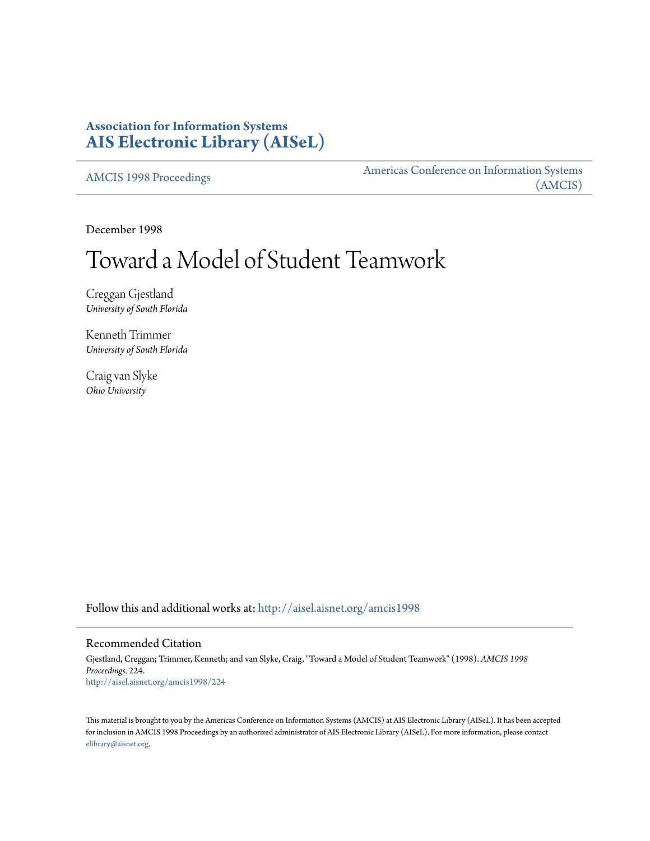# **Association for Information Systems [AIS Electronic Library \(AISeL\)](http://aisel.aisnet.org?utm_source=aisel.aisnet.org%2Famcis1998%2F224&utm_medium=PDF&utm_campaign=PDFCoverPages)**

[AMCIS 1998 Proceedings](http://aisel.aisnet.org/amcis1998?utm_source=aisel.aisnet.org%2Famcis1998%2F224&utm_medium=PDF&utm_campaign=PDFCoverPages)

[Americas Conference on Information Systems](http://aisel.aisnet.org/amcis?utm_source=aisel.aisnet.org%2Famcis1998%2F224&utm_medium=PDF&utm_campaign=PDFCoverPages) [\(AMCIS\)](http://aisel.aisnet.org/amcis?utm_source=aisel.aisnet.org%2Famcis1998%2F224&utm_medium=PDF&utm_campaign=PDFCoverPages)

December 1998

# Toward a Model of Student Teamwork

Creggan Gjestland *University of South Florida*

Kenneth Trimmer *University of South Florida*

Craig van Slyke *Ohio University*

Follow this and additional works at: [http://aisel.aisnet.org/amcis1998](http://aisel.aisnet.org/amcis1998?utm_source=aisel.aisnet.org%2Famcis1998%2F224&utm_medium=PDF&utm_campaign=PDFCoverPages)

# Recommended Citation

Gjestland, Creggan; Trimmer, Kenneth; and van Slyke, Craig, "Toward a Model of Student Teamwork" (1998). *AMCIS 1998 Proceedings*. 224. [http://aisel.aisnet.org/amcis1998/224](http://aisel.aisnet.org/amcis1998/224?utm_source=aisel.aisnet.org%2Famcis1998%2F224&utm_medium=PDF&utm_campaign=PDFCoverPages)

This material is brought to you by the Americas Conference on Information Systems (AMCIS) at AIS Electronic Library (AISeL). It has been accepted for inclusion in AMCIS 1998 Proceedings by an authorized administrator of AIS Electronic Library (AISeL). For more information, please contact [elibrary@aisnet.org.](mailto:elibrary@aisnet.org%3E)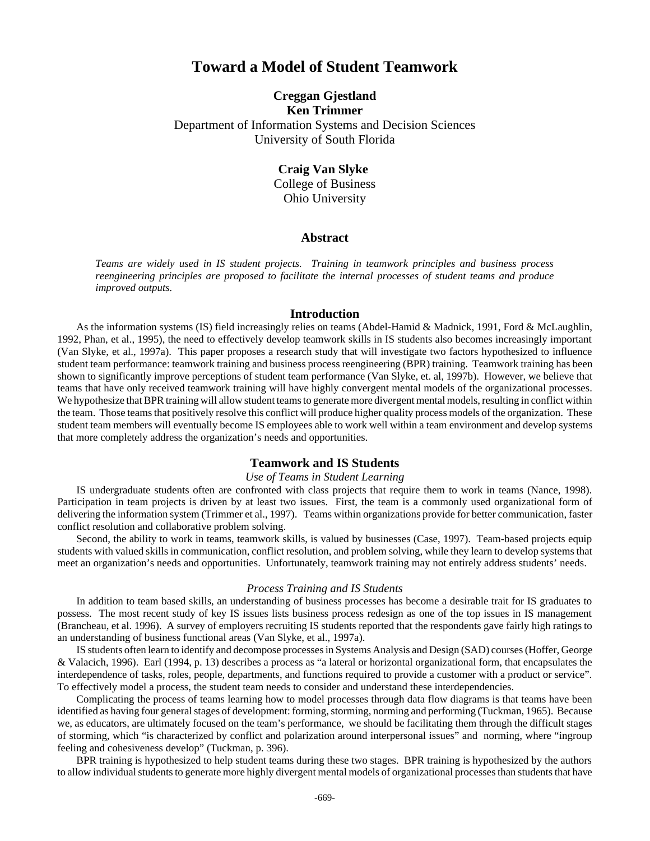# **Toward a Model of Student Teamwork**

# **Creggan Gjestland Ken Trimmer** Department of Information Systems and Decision Sciences University of South Florida

**Craig Van Slyke**  College of Business Ohio University

### **Abstract**

*Teams are widely used in IS student projects. Training in teamwork principles and business process reengineering principles are proposed to facilitate the internal processes of student teams and produce improved outputs.*

#### **Introduction**

As the information systems (IS) field increasingly relies on teams (Abdel-Hamid & Madnick, 1991, Ford & McLaughlin, 1992, Phan, et al., 1995), the need to effectively develop teamwork skills in IS students also becomes increasingly important (Van Slyke, et al., 1997a). This paper proposes a research study that will investigate two factors hypothesized to influence student team performance: teamwork training and business process reengineering (BPR) training. Teamwork training has been shown to significantly improve perceptions of student team performance (Van Slyke, et. al, 1997b). However, we believe that teams that have only received teamwork training will have highly convergent mental models of the organizational processes. We hypothesize that BPR training will allow student teams to generate more divergent mental models, resulting in conflict within the team. Those teams that positively resolve this conflict will produce higher quality process models of the organization. These student team members will eventually become IS employees able to work well within a team environment and develop systems that more completely address the organization's needs and opportunities.

## **Teamwork and IS Students**

#### *Use of Teams in Student Learning*

IS undergraduate students often are confronted with class projects that require them to work in teams (Nance, 1998). Participation in team projects is driven by at least two issues. First, the team is a commonly used organizational form of delivering the information system (Trimmer et al., 1997). Teams within organizations provide for better communication, faster conflict resolution and collaborative problem solving.

Second, the ability to work in teams, teamwork skills, is valued by businesses (Case, 1997). Team-based projects equip students with valued skills in communication, conflict resolution, and problem solving, while they learn to develop systems that meet an organization's needs and opportunities. Unfortunately, teamwork training may not entirely address students' needs.

#### *Process Training and IS Students*

In addition to team based skills, an understanding of business processes has become a desirable trait for IS graduates to possess. The most recent study of key IS issues lists business process redesign as one of the top issues in IS management (Brancheau, et al. 1996). A survey of employers recruiting IS students reported that the respondents gave fairly high ratings to an understanding of business functional areas (Van Slyke, et al., 1997a).

IS students often learn to identify and decompose processes in Systems Analysis and Design (SAD) courses (Hoffer, George & Valacich, 1996). Earl (1994, p. 13) describes a process as "a lateral or horizontal organizational form, that encapsulates the interdependence of tasks, roles, people, departments, and functions required to provide a customer with a product or service". To effectively model a process, the student team needs to consider and understand these interdependencies.

Complicating the process of teams learning how to model processes through data flow diagrams is that teams have been identified as having four general stages of development: forming, storming, norming and performing (Tuckman, 1965). Because we, as educators, are ultimately focused on the team's performance, we should be facilitating them through the difficult stages of storming, which "is characterized by conflict and polarization around interpersonal issues" and norming, where "ingroup feeling and cohesiveness develop" (Tuckman, p. 396).

BPR training is hypothesized to help student teams during these two stages. BPR training is hypothesized by the authors to allow individual students to generate more highly divergent mental models of organizational processes than students that have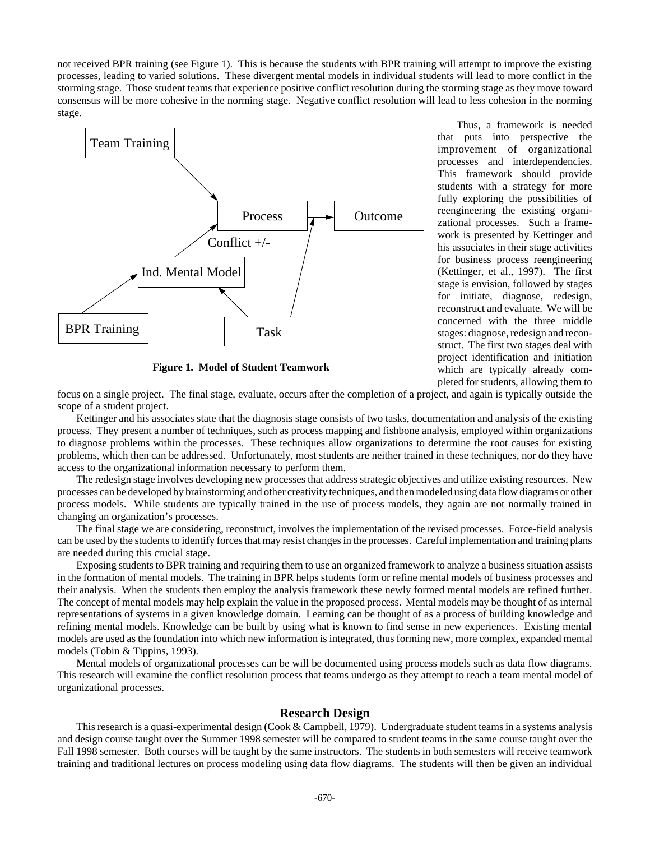not received BPR training (see Figure 1). This is because the students with BPR training will attempt to improve the existing processes, leading to varied solutions. These divergent mental models in individual students will lead to more conflict in the storming stage. Those student teams that experience positive conflict resolution during the storming stage as they move toward consensus will be more cohesive in the norming stage. Negative conflict resolution will lead to less cohesion in the norming stage.



**Figure 1. Model of Student Teamwork**

Thus, a framework is needed that puts into perspective the improvement of organizational processes and interdependencies. This framework should provide students with a strategy for more fully exploring the possibilities of reengineering the existing organizational processes. Such a framework is presented by Kettinger and his associates in their stage activities for business process reengineering (Kettinger, et al., 1997). The first stage is envision, followed by stages for initiate, diagnose, redesign, reconstruct and evaluate. We will be concerned with the three middle stages: diagnose, redesign and reconstruct. The first two stages deal with project identification and initiation which are typically already completed for students, allowing them to

focus on a single project. The final stage, evaluate, occurs after the completion of a project, and again is typically outside the scope of a student project.

Kettinger and his associates state that the diagnosis stage consists of two tasks, documentation and analysis of the existing process. They present a number of techniques, such as process mapping and fishbone analysis, employed within organizations to diagnose problems within the processes. These techniques allow organizations to determine the root causes for existing problems, which then can be addressed. Unfortunately, most students are neither trained in these techniques, nor do they have access to the organizational information necessary to perform them.

The redesign stage involves developing new processes that address strategic objectives and utilize existing resources. New processes can be developed by brainstorming and other creativity techniques, and then modeled using data flow diagrams or other process models. While students are typically trained in the use of process models, they again are not normally trained in changing an organization's processes.

The final stage we are considering, reconstruct, involves the implementation of the revised processes. Force-field analysis can be used by the students to identify forces that may resist changes in the processes. Careful implementation and training plans are needed during this crucial stage.

Exposing students to BPR training and requiring them to use an organized framework to analyze a business situation assists in the formation of mental models. The training in BPR helps students form or refine mental models of business processes and their analysis. When the students then employ the analysis framework these newly formed mental models are refined further. The concept of mental models may help explain the value in the proposed process. Mental models may be thought of as internal representations of systems in a given knowledge domain. Learning can be thought of as a process of building knowledge and refining mental models. Knowledge can be built by using what is known to find sense in new experiences. Existing mental models are used as the foundation into which new information is integrated, thus forming new, more complex, expanded mental models (Tobin & Tippins, 1993).

Mental models of organizational processes can be will be documented using process models such as data flow diagrams. This research will examine the conflict resolution process that teams undergo as they attempt to reach a team mental model of organizational processes.

### **Research Design**

This research is a quasi-experimental design (Cook & Campbell, 1979). Undergraduate student teams in a systems analysis and design course taught over the Summer 1998 semester will be compared to student teams in the same course taught over the Fall 1998 semester. Both courses will be taught by the same instructors. The students in both semesters will receive teamwork training and traditional lectures on process modeling using data flow diagrams. The students will then be given an individual